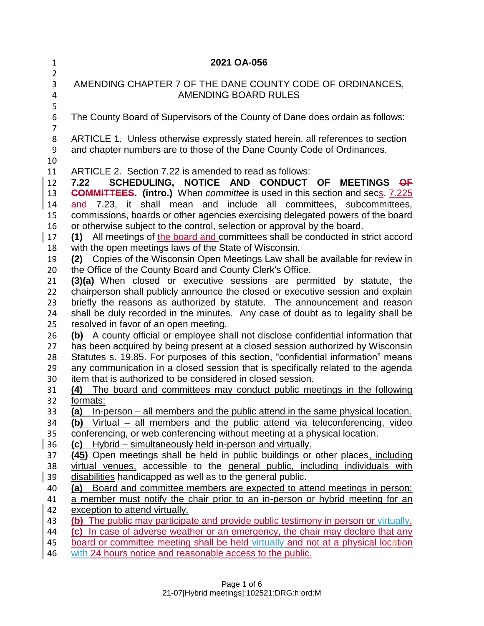| $\mathbf{1}$<br>$\overline{2}$                                                   | 2021 OA-056                                                                                                                                                                                                                                                                                                                                                                                                                                                                                                                                                                                                                                                                                                                                                                                                                                                                                                                                                                                                                                                                                          |
|----------------------------------------------------------------------------------|------------------------------------------------------------------------------------------------------------------------------------------------------------------------------------------------------------------------------------------------------------------------------------------------------------------------------------------------------------------------------------------------------------------------------------------------------------------------------------------------------------------------------------------------------------------------------------------------------------------------------------------------------------------------------------------------------------------------------------------------------------------------------------------------------------------------------------------------------------------------------------------------------------------------------------------------------------------------------------------------------------------------------------------------------------------------------------------------------|
| 3<br>4<br>5                                                                      | AMENDING CHAPTER 7 OF THE DANE COUNTY CODE OF ORDINANCES,<br>AMENDING BOARD RULES                                                                                                                                                                                                                                                                                                                                                                                                                                                                                                                                                                                                                                                                                                                                                                                                                                                                                                                                                                                                                    |
| 6<br>$\overline{7}$                                                              | The County Board of Supervisors of the County of Dane does ordain as follows:                                                                                                                                                                                                                                                                                                                                                                                                                                                                                                                                                                                                                                                                                                                                                                                                                                                                                                                                                                                                                        |
| 8<br>9<br>10                                                                     | ARTICLE 1. Unless otherwise expressly stated herein, all references to section<br>and chapter numbers are to those of the Dane County Code of Ordinances.                                                                                                                                                                                                                                                                                                                                                                                                                                                                                                                                                                                                                                                                                                                                                                                                                                                                                                                                            |
| 11<br>12<br>13<br>14<br>15<br>16<br>17<br>18<br>19<br>20<br>21<br>22<br>23<br>24 | ARTICLE 2. Section 7.22 is amended to read as follows:<br>SCHEDULING, NOTICE AND CONDUCT<br><b>MEETINGS</b><br>OF<br>$\overline{OF}$<br>7.22<br><b>COMMITTEES.</b> (intro.) When committee is used in this section and secs. 7.225<br>and 7.23, it shall mean and include all committees, subcommittees,<br>commissions, boards or other agencies exercising delegated powers of the board<br>or otherwise subject to the control, selection or approval by the board.<br>(1) All meetings of the board and committees shall be conducted in strict accord<br>with the open meetings laws of the State of Wisconsin.<br>Copies of the Wisconsin Open Meetings Law shall be available for review in<br>(2)<br>the Office of the County Board and County Clerk's Office.<br>(3)(a) When closed or executive sessions are permitted by statute, the<br>chairperson shall publicly announce the closed or executive session and explain<br>briefly the reasons as authorized by statute. The announcement and reason<br>shall be duly recorded in the minutes. Any case of doubt as to legality shall be |
| 25<br>26<br>27<br>28<br>29<br>30<br>31                                           | resolved in favor of an open meeting.<br>(b) A county official or employee shall not disclose confidential information that<br>has been acquired by being present at a closed session authorized by Wisconsin<br>Statutes s. 19.85. For purposes of this section, "confidential information" means<br>any communication in a closed session that is specifically related to the agenda<br>item that is authorized to be considered in closed session.<br>The board and committees may conduct public meetings in the following<br>(4)                                                                                                                                                                                                                                                                                                                                                                                                                                                                                                                                                                |
| 32<br>33<br>34<br>35<br>36                                                       | <u>formats:</u><br>(a) In-person – all members and the public attend in the same physical location.<br>Virtual – all members and the public attend via teleconferencing, video<br>(b)<br>conferencing, or web conferencing without meeting at a physical location.<br>(c) Hybrid – simultaneously held in-person and virtually.                                                                                                                                                                                                                                                                                                                                                                                                                                                                                                                                                                                                                                                                                                                                                                      |
| 37<br>38<br>39                                                                   | (45) Open meetings shall be held in public buildings or other places, including<br>virtual venues, accessible to the general public, including individuals with<br>disabilities handicapped as well as to the general public.                                                                                                                                                                                                                                                                                                                                                                                                                                                                                                                                                                                                                                                                                                                                                                                                                                                                        |
| 40<br>41<br>42                                                                   | (a) Board and committee members are expected to attend meetings in person:<br>a member must notify the chair prior to an in-person or hybrid meeting for an<br>exception to attend virtually.                                                                                                                                                                                                                                                                                                                                                                                                                                                                                                                                                                                                                                                                                                                                                                                                                                                                                                        |
| 43<br>44<br>45                                                                   | (b) The public may participate and provide public testimony in person or virtually.<br>(c) In case of adverse weather or an emergency, the chair may declare that any<br>board or committee meeting shall be held virtually and not at a physical location                                                                                                                                                                                                                                                                                                                                                                                                                                                                                                                                                                                                                                                                                                                                                                                                                                           |
| 46                                                                               | with 24 hours notice and reasonable access to the public.                                                                                                                                                                                                                                                                                                                                                                                                                                                                                                                                                                                                                                                                                                                                                                                                                                                                                                                                                                                                                                            |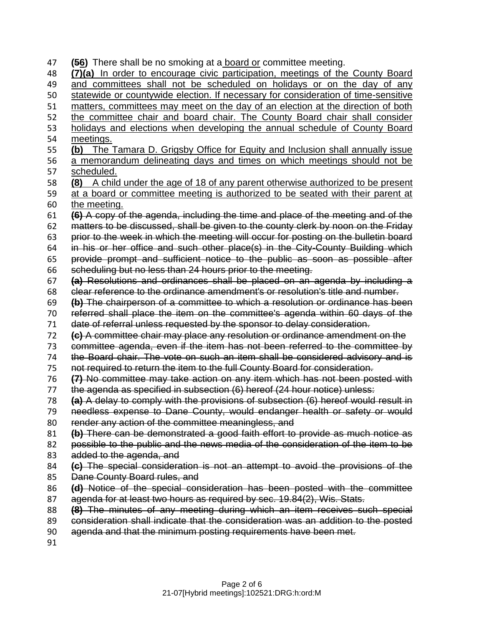**(56)** There shall be no smoking at a board or committee meeting. **(7)(a)** In order to encourage civic participation, meetings of the County Board and committees shall not be scheduled on holidays or on the day of any statewide or countywide election. If necessary for consideration of time-sensitive matters, committees may meet on the day of an election at the direction of both the committee chair and board chair. The County Board chair shall consider 53 holidays and elections when developing the annual schedule of County Board meetings. **(b)** The Tamara D. Grigsby Office for Equity and Inclusion shall annually issue a memorandum delineating days and times on which meetings should not be scheduled. **(8)** A child under the age of 18 of any parent otherwise authorized to be present at a board or committee meeting is authorized to be seated with their parent at 60 the meeting. **(6)** A copy of the agenda, including the time and place of the meeting and of the matters to be discussed, shall be given to the county clerk by noon on the Friday prior to the week in which the meeting will occur for posting on the bulletin board in his or her office and such other place(s) in the City-County Building which provide prompt and sufficient notice to the public as soon as possible after scheduling but no less than 24 hours prior to the meeting. **(a)** Resolutions and ordinances shall be placed on an agenda by including a clear reference to the ordinance amendment's or resolution's title and number. **(b)** The chairperson of a committee to which a resolution or ordinance has been referred shall place the item on the committee's agenda within 60 days of the date of referral unless requested by the sponsor to delay consideration. **(c)** A committee chair may place any resolution or ordinance amendment on the committee agenda, even if the item has not been referred to the committee by the Board chair. The vote on such an item shall be considered advisory and is not required to return the item to the full County Board for consideration. **(7)** No committee may take action on any item which has not been posted with the agenda as specified in subsection (6) hereof (24 hour notice) unless: **(a)** A delay to comply with the provisions of subsection (6) hereof would result in needless expense to Dane County, would endanger health or safety or would render any action of the committee meaningless, and **(b)** There can be demonstrated a good faith effort to provide as much notice as possible to the public and the news media of the consideration of the item to be 83 added to the agenda, and **(c)** The special consideration is not an attempt to avoid the provisions of the Dane County Board rules, and **(d)** Notice of the special consideration has been posted with the committee agenda for at least two hours as required by sec. 19.84(2), Wis. Stats. **(8)** The minutes of any meeting during which an item receives such special consideration shall indicate that the consideration was an addition to the posted agenda and that the minimum posting requirements have been met.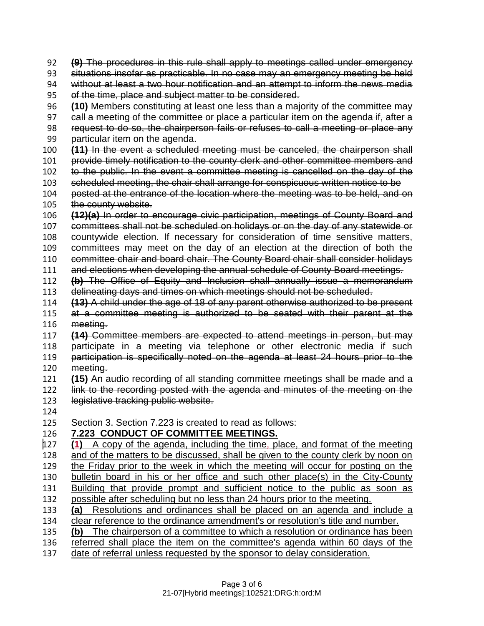**(9)** The procedures in this rule shall apply to meetings called under emergency

situations insofar as practicable. In no case may an emergency meeting be held

- without at least a two hour notification and an attempt to inform the news media
- 95 of the time, place and subject matter to be considered.
- **(10)** Members constituting at least one less than a majority of the committee may
- 97 call a meeting of the committee or place a particular item on the agenda if, after a
- request to do so, the chairperson fails or refuses to call a meeting or place any
- particular item on the agenda.
- **(11)** In the event a scheduled meeting must be canceled, the chairperson shall
- provide timely notification to the county clerk and other committee members and
- to the public. In the event a committee meeting is cancelled on the day of the
- scheduled meeting, the chair shall arrange for conspicuous written notice to be
- posted at the entrance of the location where the meeting was to be held, and on 105 the county website.
- **(12)(a)** In order to encourage civic participation, meetings of County Board and
- committees shall not be scheduled on holidays or on the day of any statewide or
- countywide election. If necessary for consideration of time sensitive matters,
- committees may meet on the day of an election at the direction of both the
- committee chair and board chair. The County Board chair shall consider holidays
- and elections when developing the annual schedule of County Board meetings.
- **(b)** The Office of Equity and Inclusion shall annually issue a memorandum delineating days and times on which meetings should not be scheduled.
- **(13)** A child under the age of 18 of any parent otherwise authorized to be present at a committee meeting is authorized to be seated with their parent at the
- meeting.
- **(14)** Committee members are expected to attend meetings in person, but may
- participate in a meeting via telephone or other electronic media if such participation is specifically noted on the agenda at least 24 hours prior to the
- meeting.
- **(15)** An audio recording of all standing committee meetings shall be made and a 122 link to the recording posted with the agenda and minutes of the meeting on the
- legislative tracking public website.
- 
- Section 3. Section 7.223 is created to read as follows:

## **7.223 CONDUCT OF COMMITTEE MEETINGS.**

- **(1)** A copy of the agenda, including the time, place, and format of the meeting and of the matters to be discussed, shall be given to the county clerk by noon on the Friday prior to the week in which the meeting will occur for posting on the bulletin board in his or her office and such other place(s) in the City-County Building that provide prompt and sufficient notice to the public as soon as possible after scheduling but no less than 24 hours prior to the meeting. **(a)** Resolutions and ordinances shall be placed on an agenda and include a clear reference to the ordinance amendment's or resolution's title and number.
- 
- **(b)** The chairperson of a committee to which a resolution or ordinance has been referred shall place the item on the committee's agenda within 60 days of the
- date of referral unless requested by the sponsor to delay consideration.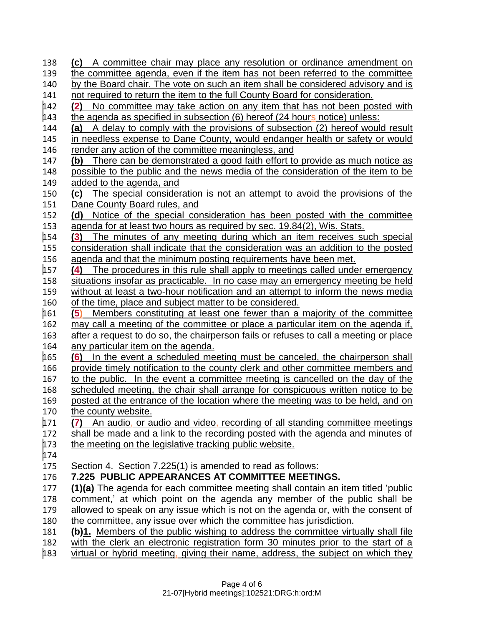**(c)** A committee chair may place any resolution or ordinance amendment on the committee agenda, even if the item has not been referred to the committee by the Board chair. The vote on such an item shall be considered advisory and is not required to return the item to the full County Board for consideration. **(2)** No committee may take action on any item that has not been posted with  $\mu$ 43 the agenda as specified in subsection (6) hereof (24 hours notice) unless: **(a)** A delay to comply with the provisions of subsection (2) hereof would result in needless expense to Dane County, would endanger health or safety or would 146 render any action of the committee meaningless, and **(b)** There can be demonstrated a good faith effort to provide as much notice as possible to the public and the news media of the consideration of the item to be added to the agenda, and **(c)** The special consideration is not an attempt to avoid the provisions of the Dane County Board rules, and **(d)** Notice of the special consideration has been posted with the committee 153 agenda for at least two hours as required by sec. 19.84(2), Wis. Stats. **(3)** The minutes of any meeting during which an item receives such special consideration shall indicate that the consideration was an addition to the posted 156 agenda and that the minimum posting requirements have been met.<br> $\frac{1}{4}$  The procedures in this rule shall apply to meetings called unde **(4)** The procedures in this rule shall apply to meetings called under emergency situations insofar as practicable. In no case may an emergency meeting be held without at least a two-hour notification and an attempt to inform the news media of the time, place and subject matter to be considered. **(5)** Members constituting at least one fewer than a majority of the committee may call a meeting of the committee or place a particular item on the agenda if, after a request to do so, the chairperson fails or refuses to call a meeting or place any particular item on the agenda. **(6)** In the event a scheduled meeting must be canceled, the chairperson shall provide timely notification to the county clerk and other committee members and to the public. In the event a committee meeting is cancelled on the day of the scheduled meeting, the chair shall arrange for conspicuous written notice to be posted at the entrance of the location where the meeting was to be held, and on the county website. **(7)** An audio, or audio and video, recording of all standing committee meetings shall be made and a link to the recording posted with the agenda and minutes of 173 the meeting on the legislative tracking public website. Section 4. Section 7.225(1) is amended to read as follows: **7.225 PUBLIC APPEARANCES AT COMMITTEE MEETINGS. (1)(a)** The agenda for each committee meeting shall contain an item titled 'public comment,' at which point on the agenda any member of the public shall be allowed to speak on any issue which is not on the agenda or, with the consent of the committee, any issue over which the committee has jurisdiction. **(b)1.** Members of the public wishing to address the committee virtually shall file 182 with the clerk an electronic registration form 30 minutes prior to the start of a virtual or hybrid meeting, giving their name, address, the subject on which they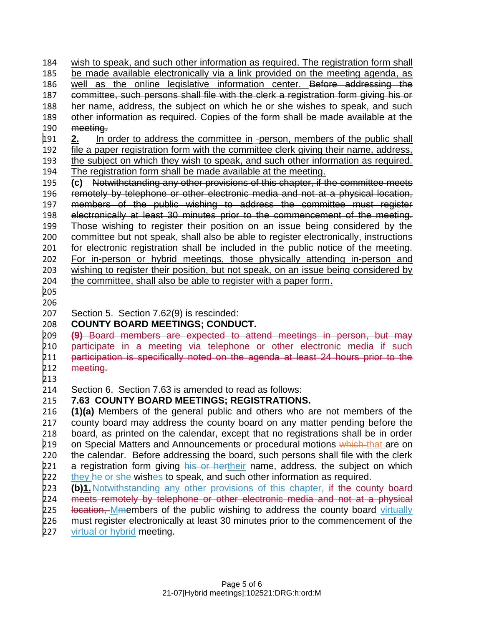wish to speak, and such other information as required. The registration form shall be made available electronically via a link provided on the meeting agenda, as 186 well as the online legislative information center. Before addressing the committee, such persons shall file with the clerk a registration form giving his or her name, address, the subject on which he or she wishes to speak, and such other information as required. Copies of the form shall be made available at the meeting.

 **2.** In order to address the committee in -person, members of the public shall file a paper registration form with the committee clerk giving their name, address, the subject on which they wish to speak, and such other information as required. The registration form shall be made available at the meeting.

 **(c)** Notwithstanding any other provisions of this chapter, if the committee meets remotely by telephone or other electronic media and not at a physical location, members of the public wishing to address the committee must register electronically at least 30 minutes prior to the commencement of the meeting. Those wishing to register their position on an issue being considered by the committee but not speak, shall also be able to register electronically, instructions for electronic registration shall be included in the public notice of the meeting. For in-person or hybrid meetings, those physically attending in-person and wishing to register their position, but not speak, on an issue being considered by the committee, shall also be able to register with a paper form.

 

Section 5. Section 7.62(9) is rescinded:

**COUNTY BOARD MEETINGS; CONDUCT.**

 **(9)** Board members are expected to attend meetings in person, but may participate in a meeting via telephone or other electronic media if such 211 <del>participation is specifically noted on the agenda at least 24 hours prior to the</del><br>212 <del>meeting.</del> meeting.

Section 6. Section 7.63 is amended to read as follows:

**7.63 COUNTY BOARD MEETINGS; REGISTRATIONS.**

 **(1)(a)** Members of the general public and others who are not members of the county board may address the county board on any matter pending before the board, as printed on the calendar, except that no registrations shall be in order 219 on Special Matters and Announcements or procedural motions which that are on the calendar. Before addressing the board, such persons shall file with the clerk 221 a registration form giving his or hertheir name, address, the subject on which 222 they he or she wishes to speak, and such other information as required.<br>223 **(b)1.** Notwithstanding any other provisions of this chapter, if the cour

- **(b)1.**Notwithstanding any other provisions of this chapter, if the county board
- 224 meets remotely by telephone or other electronic media and not at a physical<br>225 <del>Iocation. Mm</del>embers of the public wishing to address the county board virtually
- location, Mmembers of the public wishing to address the county board virtually
- must register electronically at least 30 minutes prior to the commencement of the

227 virtual or hybrid meeting.